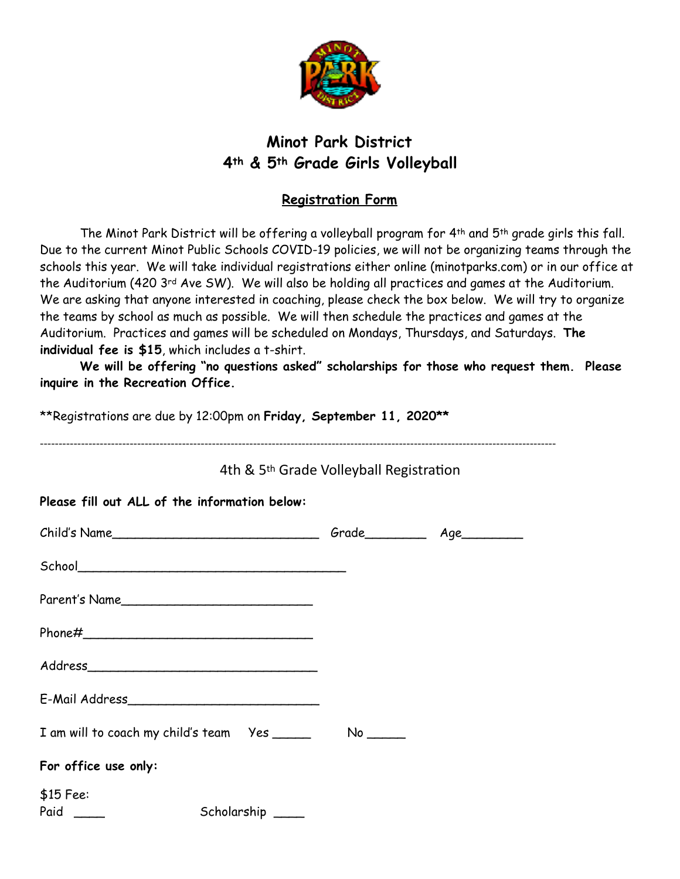

## **Minot Park District 4th & 5th Grade Girls Volleyball**

## **Registration Form**

The Minot Park District will be offering a volleyball program for 4th and 5th grade girls this fall. Due to the current Minot Public Schools COVID-19 policies, we will not be organizing teams through the schools this year. We will take individual registrations either online (minotparks.com) or in our office at the Auditorium (420 3rd Ave SW). We will also be holding all practices and games at the Auditorium. We are asking that anyone interested in coaching, please check the box below. We will try to organize the teams by school as much as possible. We will then schedule the practices and games at the Auditorium. Practices and games will be scheduled on Mondays, Thursdays, and Saturdays. **The individual fee is \$15**, which includes a t-shirt.

**We will be offering "no questions asked" scholarships for those who request them. Please inquire in the Recreation Office.**

| **Registrations are due by 12:00pm on Friday, September 11, 2020 **<br>4th & 5 <sup>th</sup> Grade Volleyball Registration |  |  |
|----------------------------------------------------------------------------------------------------------------------------|--|--|
|                                                                                                                            |  |  |
|                                                                                                                            |  |  |
|                                                                                                                            |  |  |
| Parent's Name                                                                                                              |  |  |
|                                                                                                                            |  |  |
|                                                                                                                            |  |  |
|                                                                                                                            |  |  |
|                                                                                                                            |  |  |
| For office use only:                                                                                                       |  |  |
| $$15$ Fee:<br>Scholarship ____                                                                                             |  |  |